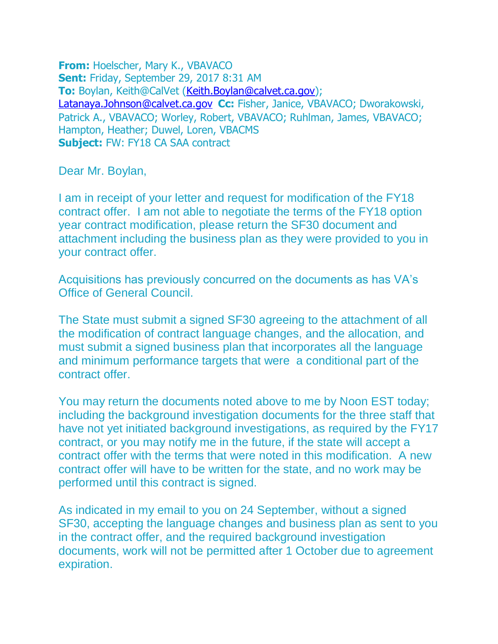**From:** Hoelscher, Mary K., VBAVACO **Sent:** Friday, September 29, 2017 8:31 AM **To:** Boylan, Keith@CalVet [\(Keith.Boylan@calvet.ca.gov\)](mailto:Keith.Boylan@calvet.ca.gov); [Latanaya.Johnson@calvet.ca.gov](mailto:Latanaya.Johnson@calvet.ca.gov) **Cc:** Fisher, Janice, VBAVACO; Dworakowski, Patrick A., VBAVACO; Worley, Robert, VBAVACO; Ruhlman, James, VBAVACO; Hampton, Heather; Duwel, Loren, VBACMS **Subject:** FW: FY18 CA SAA contract

Dear Mr. Boylan,

I am in receipt of your letter and request for modification of the FY18 contract offer. I am not able to negotiate the terms of the FY18 option year contract modification, please return the SF30 document and attachment including the business plan as they were provided to you in your contract offer.

Acquisitions has previously concurred on the documents as has VA's Office of General Council.

The State must submit a signed SF30 agreeing to the attachment of all the modification of contract language changes, and the allocation, and must submit a signed business plan that incorporates all the language and minimum performance targets that were a conditional part of the contract offer.

You may return the documents noted above to me by Noon EST today; including the background investigation documents for the three staff that have not yet initiated background investigations, as required by the FY17 contract, or you may notify me in the future, if the state will accept a contract offer with the terms that were noted in this modification. A new contract offer will have to be written for the state, and no work may be performed until this contract is signed.

As indicated in my email to you on 24 September, without a signed SF30, accepting the language changes and business plan as sent to you in the contract offer, and the required background investigation documents, work will not be permitted after 1 October due to agreement expiration.